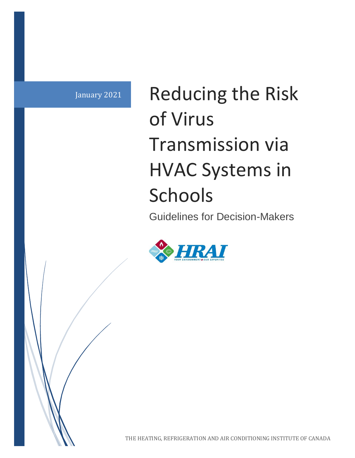January 2021 Reducing the Risk of Virus Transmission via HVAC Systems in **Schools** 

Guidelines for Decision-Makers

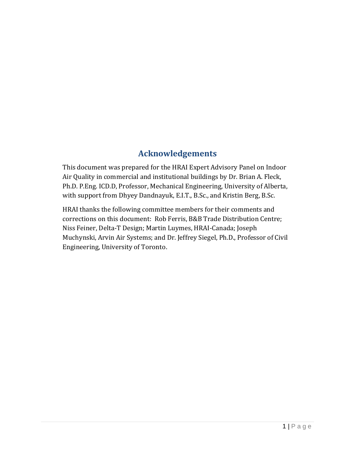#### **Acknowledgements**

This document was prepared for the HRAI Expert Advisory Panel on Indoor Air Quality in commercial and institutional buildings by Dr. Brian A. Fleck, Ph.D. P.Eng. ICD.D, Professor, Mechanical Engineering, University of Alberta, with support from Dhyey Dandnayuk, E.I.T., B.Sc., and Kristin Berg, B.Sc.

HRAI thanks the following committee members for their comments and corrections on this document: Rob Ferris, B&B Trade Distribution Centre; Niss Feiner, Delta-T Design; Martin Luymes, HRAI-Canada; Joseph Muchynski, Arvin Air Systems; and Dr. Jeffrey Siegel, Ph.D., Professor of Civil Engineering, University of Toronto.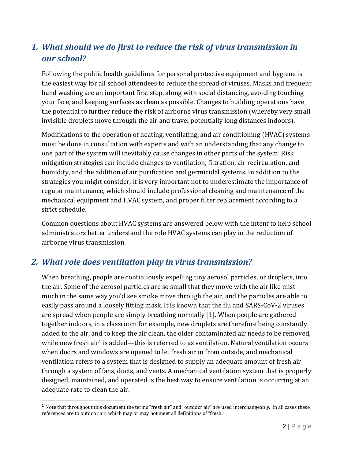# *1. What should we do first to reduce the risk of virus transmission in our school?*

Following the public health guidelines for personal protective equipment and hygiene is the easiest way for all school attendees to reduce the spread of viruses. Masks and frequent hand washing are an important first step, along with social distancing, avoiding touching your face, and keeping surfaces as clean as possible. Changes to building operations have the potential to further reduce the risk of airborne virus transmission (whereby very small invisible droplets move through the air and travel potentially long distances indoors).

Modifications to the operation of heating, ventilating, and air conditioning (HVAC) systems must be done in consultation with experts and with an understanding that any change to one part of the system will inevitably cause changes in other parts of the system. Risk mitigation strategies can include changes to ventilation, filtration, air recirculation, and humidity, and the addition of air purification and germicidal systems. In addition to the strategies you might consider, it is very important not to underestimate the importance of regular maintenance, which should include professional cleaning and maintenance of the mechanical equipment and HVAC system, and proper filter replacement according to a strict schedule.

Common questions about HVAC systems are answered below with the intent to help school administrators better understand the role HVAC systems can play in the reduction of airborne virus transmission.

#### *2. What role does ventilation play in virus transmission?*

 $\overline{a}$ 

When breathing, people are continuously expelling tiny aerosol particles, or droplets, into the air. Some of the aerosol particles are so small that they move with the air like mist much in the same way you'd see smoke move through the air, and the particles are able to easily pass around a loosely fitting mask. It is known that the flu and SARS-CoV-2 viruses are spread when people are simply breathing normall[y \[1\].](https://paperpile.com/c/C4j7zk/CYrY) When people are gathered together indoors, in a classroom for example, new droplets are therefore being constantly added to the air, and to keep the air clean, the older contaminated air needs to be removed, while new fresh air<sup>1</sup> is added—this is referred to as ventilation. Natural ventilation occurs when doors and windows are opened to let fresh air in from outside, and mechanical ventilation refers to a system that is designed to supply an adequate amount of fresh air through a system of fans, ducts, and vents. A mechanical ventilation system that is properly designed, maintained, and operated is the best way to ensure ventilation is occurring at an adequate rate to clean the air.

 $1$  Note that throughout this document the terms "fresh air" and "outdoor air" are used interchangeably. In all cases these references are to outdoor air, which may or may not meet all definitions of "fresh."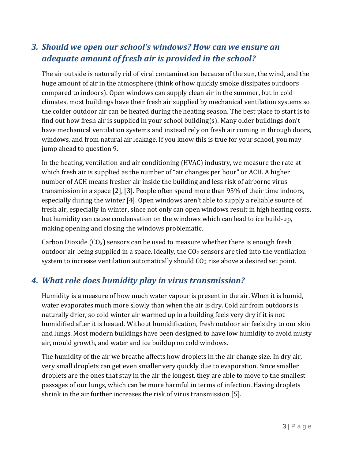## *3. Should we open our school's windows? How can we ensure an adequate amount of fresh air is provided in the school?*

The air outside is naturally rid of viral contamination because of the sun, the wind, and the huge amount of air in the atmosphere (think of how quickly smoke dissipates outdoors compared to indoors). Open windows can supply clean air in the summer, but in cold climates, most buildings have their fresh air supplied by mechanical ventilation systems so the colder outdoor air can be heated during the heating season. The best place to start is to find out how fresh air is supplied in your school building(s). Many older buildings don't have mechanical ventilation systems and instead rely on fresh air coming in through doors, windows, and from natural air leakage. If you know this is true for your school, you may jump ahead to question 9.

In the heating, ventilation and air conditioning (HVAC) industry, we measure the rate at which fresh air is supplied as the number of "air changes per hour" or ACH. A higher number of ACH means fresher air inside the building and less risk of airborne virus transmission in a space [\[2\], \[3\].](https://paperpile.com/c/C4j7zk/oWXR+b3EV) People often spend more than 95% of their time indoors, especially during the winter [\[4\].](https://paperpile.com/c/C4j7zk/j6GP) Open windows aren't able to supply a reliable source of fresh air, especially in winter, since not only can open windows result in high heating costs, but humidity can cause condensation on the windows which can lead to ice build-up, making opening and closing the windows problematic.

Carbon Dioxide  $(CO_2)$  sensors can be used to measure whether there is enough fresh outdoor air being supplied in a space. Ideally, the  $CO<sub>2</sub>$  sensors are tied into the ventilation system to increase ventilation automatically should  $CO<sub>2</sub>$  rise above a desired set point.

#### *4. What role does humidity play in virus transmission?*

Humidity is a measure of how much water vapour is present in the air. When it is humid, water evaporates much more slowly than when the air is dry. Cold air from outdoors is naturally drier, so cold winter air warmed up in a building feels very dry if it is not humidified after it is heated. Without humidification, fresh outdoor air feels dry to our skin and lungs. Most modern buildings have been designed to have low humidity to avoid musty air, mould growth, and water and ice buildup on cold windows.

The humidity of the air we breathe affects how droplets in the air change size. In dry air, very small droplets can get even smaller very quickly due to evaporation. Since smaller droplets are the ones that stay in the air the longest, they are able to move to the smallest passages of our lungs, which can be more harmful in terms of infection. Having droplets shrink in the air further increases the risk of virus transmission [\[5\].](https://paperpile.com/c/C4j7zk/8bBk)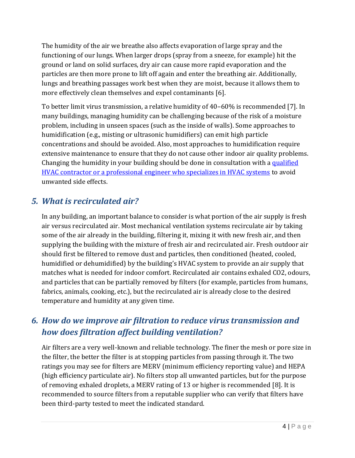The humidity of the air we breathe also affects evaporation of large spray and the functioning of our lungs. When larger drops (spray from a sneeze, for example) hit the ground or land on solid surfaces, dry air can cause more rapid evaporation and the particles are then more prone to lift off again and enter the breathing air. Additionally, lungs and breathing passages work best when they are moist, because it allows them to more effectively clean themselves and expel contaminants [\[6\].](https://paperpile.com/c/C4j7zk/84CI)

To better limit virus transmission, a relative humidity of 40–60% is recommended [\[7\].](https://paperpile.com/c/C4j7zk/uCsh) In many buildings, managing humidity can be challenging because of the risk of a moisture problem, including in unseen spaces (such as the inside of walls). Some approaches to humidification (e.g., misting or ultrasonic humidifiers) can emit high particle concentrations and should be avoided. Also, most approaches to humidification require extensive maintenance to ensure that they do not cause other indoor air quality problems. Changing the humidity in your building should be done in consultation with a qualified [HVAC contractor or a professional engineer who specializes in HVAC systems](https://portal.hrai.ca/HRAI/Contractor_Locator/HRAI/Contractor_Locator/Contractor_Locator.aspx) to avoid unwanted side effects.

## *5. What is recirculated air?*

In any building, an important balance to consider is what portion of the air supply is fresh air versus recirculated air. Most mechanical ventilation systems recirculate air by taking some of the air already in the building, filtering it, mixing it with new fresh air, and then supplying the building with the mixture of fresh air and recirculated air. Fresh outdoor air should first be filtered to remove dust and particles, then conditioned (heated, cooled, humidified or dehumidified) by the building's HVAC system to provide an air supply that matches what is needed for indoor comfort. Recirculated air contains exhaled CO2, odours, and particles that can be partially removed by filters (for example, particles from humans, fabrics, animals, cooking, etc.), but the recirculated air is already close to the desired temperature and humidity at any given time.

# *6. How do we improve air filtration to reduce virus transmission and how does filtration affect building ventilation?*

Air filters are a very well-known and reliable technology. The finer the mesh or pore size in the filter, the better the filter is at stopping particles from passing through it. The two ratings you may see for filters are MERV (minimum efficiency reporting value) and HEPA (high efficiency particulate air). No filters stop all unwanted particles, but for the purpose of removing exhaled droplets, a MERV rating of 13 or higher is recommended [\[8\].](https://paperpile.com/c/C4j7zk/QLp7) It is recommended to source filters from a reputable supplier who can verify that filters have been third-party tested to meet the indicated standard.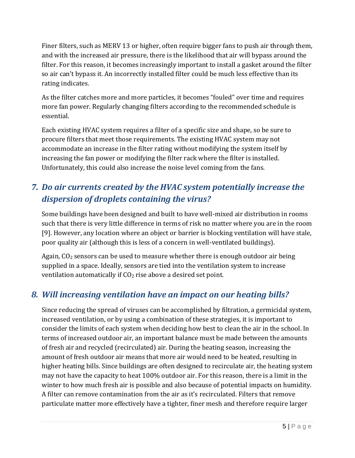Finer filters, such as MERV 13 or higher, often require bigger fans to push air through them, and with the increased air pressure, there is the likelihood that air will bypass around the filter. For this reason, it becomes increasingly important to install a gasket around the filter so air can't bypass it. An incorrectly installed filter could be much less effective than its rating indicates.

As the filter catches more and more particles, it becomes "fouled" over time and requires more fan power. Regularly changing filters according to the recommended schedule is essential.

Each existing HVAC system requires a filter of a specific size and shape, so be sure to procure filters that meet those requirements. The existing HVAC system may not accommodate an increase in the filter rating without modifying the system itself by increasing the fan power or modifying the filter rack where the filter is installed. Unfortunately, this could also increase the noise level coming from the fans.

# *7. Do air currents created by the HVAC system potentially increase the dispersion of droplets containing the virus?*

Some buildings have been designed and built to have well-mixed air distribution in rooms such that there is very little difference in terms of risk no matter where you are in the room [\[9\].](https://paperpile.com/c/C4j7zk/5pVp) However, any location where an object or barrier is blocking ventilation will have stale, poor quality air (although this is less of a concern in well-ventilated buildings).

Again,  $CO<sub>2</sub>$  sensors can be used to measure whether there is enough outdoor air being supplied in a space. Ideally, sensors are tied into the ventilation system to increase ventilation automatically if  $CO<sub>2</sub>$  rise above a desired set point.

## *8. Will increasing ventilation have an impact on our heating bills?*

Since reducing the spread of viruses can be accomplished by filtration, a germicidal system, increased ventilation, or by using a combination of these strategies, it is important to consider the limits of each system when deciding how best to clean the air in the school. In terms of increased outdoor air, an important balance must be made between the amounts of fresh air and recycled (recirculated) air. During the heating season, increasing the amount of fresh outdoor air means that more air would need to be heated, resulting in higher heating bills. Since buildings are often designed to recirculate air, the heating system may not have the capacity to heat 100% outdoor air. For this reason, there is a limit in the winter to how much fresh air is possible and also because of potential impacts on humidity. A filter can remove contamination from the air as it's recirculated. Filters that remove particulate matter more effectively have a tighter, finer mesh and therefore require larger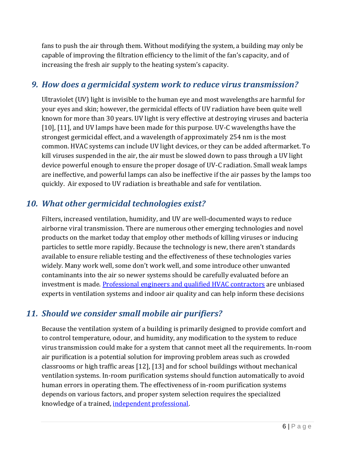fans to push the air through them. Without modifying the system, a building may only be capable of improving the filtration efficiency to the limit of the fan's capacity, and of increasing the fresh air supply to the heating system's capacity.

#### *9. How does a germicidal system work to reduce virus transmission?*

Ultraviolet (UV) light is invisible to the human eye and most wavelengths are harmful for your eyes and skin; however, the germicidal effects of UV radiation have been quite well known for more than 30 years. UV light is very effective at destroying viruses and bacteria [\[10\],](https://paperpile.com/c/C4j7zk/kXi3) [\[11\],](https://paperpile.com/c/C4j7zk/HEG4) and UV lamps have been made for this purpose. UV-C wavelengths have the strongest germicidal effect, and a wavelength of approximately 254 nm is the most common. HVAC systems can include UV light devices, or they can be added aftermarket. To kill viruses suspended in the air, the air must be slowed down to pass through a UV light device powerful enough to ensure the proper dosage of UV-C radiation. Small weak lamps are ineffective, and powerful lamps can also be ineffective if the air passes by the lamps too quickly. Air exposed to UV radiation is breathable and safe for ventilation.

#### *10. What other germicidal technologies exist?*

Filters, increased ventilation, humidity, and UV are well-documented ways to reduce airborne viral transmission. There are numerous other emerging technologies and novel products on the market today that employ other methods of killing viruses or inducing particles to settle more rapidly. Because the technology is new, there aren't standards available to ensure reliable testing and the effectiveness of these technologies varies widely. Many work well, some don't work well, and some introduce other unwanted contaminants into the air so newer systems should be carefully evaluated before an investment is made. [Professional engineers and qualified HVAC contractors](https://portal.hrai.ca/HRAI/Contractor_Locator/HRAI/Contractor_Locator/Contractor_Locator.aspx) are unbiased experts in ventilation systems and indoor air quality and can help inform these decisions

## *11. Should we consider small mobile air purifiers?*

Because the ventilation system of a building is primarily designed to provide comfort and to control temperature, odour, and humidity, any modification to the system to reduce virus transmission could make for a system that cannot meet all the requirements. In-room air purification is a potential solution for improving problem areas such as crowded classrooms or high traffic areas [\[12\],](https://paperpile.com/c/C4j7zk/GgfP) [\[13\]](https://paperpile.com/c/C4j7zk/yEAW) and for school buildings without mechanical ventilation systems. In-room purification systems should function automatically to avoid human errors in operating them. The effectiveness of in-room purification systems depends on various factors, and proper system selection requires the specialized knowledge of a trained[, independent professional.](https://portal.hrai.ca/HRAI/Contractor_Locator/HRAI/Contractor_Locator/Contractor_Locator.aspx)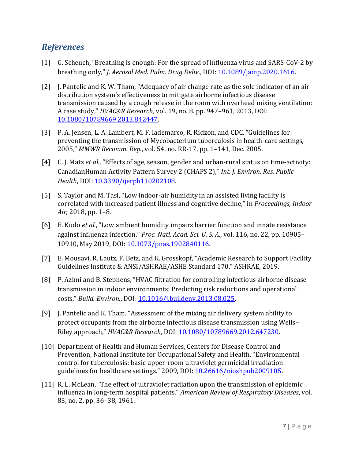#### *References*

- [1] G. Scheuch, "Breathing [is enough: For the spread of influenza virus and SARS-CoV-2 by](http://paperpile.com/b/C4j7zk/CYrY)  [breathing o](http://paperpile.com/b/C4j7zk/CYrY)nly," *[J. Aerosol Med. Pulm. Drug Deliv.](http://paperpile.com/b/C4j7zk/CYrY)*, DOI: [10.1089/jamp.2020.1616.](https://doi.org/10.1089/jamp.2020.1616)
- [2] [J. Pantelic and K. W. Tham, "Adequacy of air change rate as the sole indicator of an air](http://paperpile.com/b/C4j7zk/oWXR)  [distribution system's effectiveness to mitigate airborne infectious disease](http://paperpile.com/b/C4j7zk/oWXR)  [transmission caused by a cough release in the room with overhead mixing ventilation:](http://paperpile.com/b/C4j7zk/oWXR)  [A case study,"](http://paperpile.com/b/C4j7zk/oWXR) *[HVAC&R Research](http://paperpile.com/b/C4j7zk/oWXR)*[, vol. 19, no. 8. pp. 947](http://paperpile.com/b/C4j7zk/oWXR)–961, 2013, DOI: [10.1080/10789669.2013.842447](http://dx.doi.org/10.1080/10789669.2013.842447)[.](http://paperpile.com/b/C4j7zk/oWXR)
- [3] [P. A. Jensen, L. A. Lambert, M. F. Iademarco, R. R](http://paperpile.com/b/C4j7zk/b3EV)idzon, and CDC, "Guidelines for [preventing the transmission of Mycobacterium tuberculosis in health-care settings,](http://paperpile.com/b/C4j7zk/b3EV)  [2005,"](http://paperpile.com/b/C4j7zk/b3EV) *[MMWR Recomm. Rep.](http://paperpile.com/b/C4j7zk/b3EV)*[, vol. 54, no. RR-17, pp. 1](http://paperpile.com/b/C4j7zk/b3EV)–141, Dec. 2005.
- [4] [C. J. Matz](http://paperpile.com/b/C4j7zk/j6GP) *[et al.](http://paperpile.com/b/C4j7zk/j6GP)*, "Effects of age, season, gender and [urban-rural status on time-activity:](http://paperpile.com/b/C4j7zk/j6GP)  [CanadianHuman Activity Pattern Survey 2 \(CHAPS 2\),"](http://paperpile.com/b/C4j7zk/j6GP) *[Int. J. Environ. Res. Public](http://paperpile.com/b/C4j7zk/j6GP)  [Health](http://paperpile.com/b/C4j7zk/j6GP)*[,](http://paperpile.com/b/C4j7zk/j6GP) DOI: [10.3390/ijerph110202108.](https://doi.org/10.3390/ijerph110202108)
- [5] S. Taylor and M. Tasi, "Low indoor[-air humidity in an assisted living facility is](http://paperpile.com/b/C4j7zk/8bBk)  [correlated with increased patient ill](http://paperpile.com/b/C4j7zk/8bBk)ness and cognitive decline," in *[Proceedings, Indoor](http://paperpile.com/b/C4j7zk/8bBk)  [Air](http://paperpile.com/b/C4j7zk/8bBk)*[, 2018, pp. 1](http://paperpile.com/b/C4j7zk/8bBk)–8.
- [6] [E. Kudo](http://paperpile.com/b/C4j7zk/84CI) *[et al.](http://paperpile.com/b/C4j7zk/84CI)*[, "Low ambient humidity impairs barrier function and innate resistance](http://paperpile.com/b/C4j7zk/84CI)  [against influenza infection,"](http://paperpile.com/b/C4j7zk/84CI) *[Proc. Natl. Acad. Sci. U. S. A.](http://paperpile.com/b/C4j7zk/84CI)*[, vol. 116, no. 22, pp. 10905](http://paperpile.com/b/C4j7zk/84CI)– [10910, May 2019,](http://paperpile.com/b/C4j7zk/84CI) DOI: [10.1073/pnas.1902840116.](https://doi.org/10.1073/pnas.1902840116)
- [7] [E. Mousavi, R. Lautz, F. Betz, and K. Grosskopf, "Academic Research to Support Facility](http://paperpile.com/b/C4j7zk/uCsh)  [Guidelines Institute & ANSI/ASHRAE/ASHE Standard 170," ASHRAE, 2019.](http://paperpile.com/b/C4j7zk/uCsh)
- [8] [P. Azimi and B. Stephens, "HVAC filtration for controlling infectious airborne disease](http://paperpile.com/b/C4j7zk/QLp7)  [transmission in indoor environments: Predicting risk reductions and operational](http://paperpile.com/b/C4j7zk/QLp7)  [costs,"](http://paperpile.com/b/C4j7zk/QLp7) *[Build. Environ.](http://paperpile.com/b/C4j7zk/QLp7)*[,](http://paperpile.com/b/C4j7zk/QLp7) DOI[: 10.1016/j.buildenv.2013.08.025.](https://doi.org/10.1016/j.buildenv.2013.08.025)
- [9] [J. Pantelic and K. Tham, "Assessment of the mixing air delivery system ability to](http://paperpile.com/b/C4j7zk/5pVp)  [protect occupants from the airborne infectious disease transmission using Wells](http://paperpile.com/b/C4j7zk/5pVp)– [Riley approach,"](http://paperpile.com/b/C4j7zk/5pVp) *[HVAC&R Research](http://paperpile.com/b/C4j7zk/5pVp)*, DOI: [10.1080/10789669.2012.647230.](https://doi.org/10.1080/10789669.2012.647230)
- [10] Department of Health and Human Services, Centers for Disease Control and Prevention, National Institute for Occupational Safety and Health. ["Environmental](http://paperpile.com/b/C4j7zk/kXi3)  [control for tuberculosis: basic upper-room ultraviolet germicidal irradiation](http://paperpile.com/b/C4j7zk/kXi3)  [guidelines for healthcare settings." 2009,](http://paperpile.com/b/C4j7zk/kXi3) DOI: [10.26616/nioshpub2009105](http://dx.doi.org/10.26616/nioshpub2009105)[.](http://paperpile.com/b/C4j7zk/kXi3)
- [11] [R. L. McLean, "The effect of ultraviolet radiation upon the transmission of epidemi](http://paperpile.com/b/C4j7zk/HEG4)c influenza in long-[term hospital patients,"](http://paperpile.com/b/C4j7zk/HEG4) *[American Review of Respiratory Diseases](http://paperpile.com/b/C4j7zk/HEG4)*[, vol.](http://paperpile.com/b/C4j7zk/HEG4)  [83, no. 2, pp. 36](http://paperpile.com/b/C4j7zk/HEG4)–38, 1961.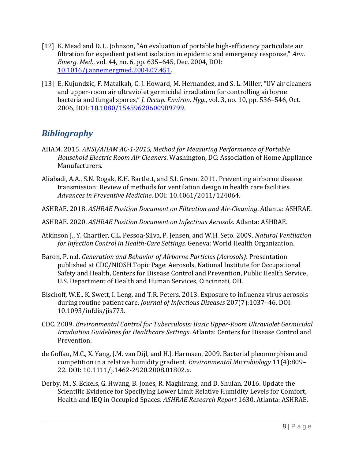- [12] [K. Mead and D. L. Johnson, "An evaluation of portable high](http://paperpile.com/b/C4j7zk/GgfP)-efficiency particulate air [filtration for expedient patient isolation in epidemic and emergency response,"](http://paperpile.com/b/C4j7zk/GgfP) *[Ann.](http://paperpile.com/b/C4j7zk/GgfP)  [Emerg. Med.](http://paperpile.com/b/C4j7zk/GgfP)*[, vol. 44, no. 6, pp. 635](http://paperpile.com/b/C4j7zk/GgfP)–645, Dec. 2004, DOI: [10.1016/j.annemergmed.2004.07.451.](https://doi.org/10.1016/j.annemergmed.2004.07.451)
- [13] [E. Kujundzic, F. Matalkah, C. J. Howard, M. Hernandez, and S. L. Miller, "UV air cleaners](http://paperpile.com/b/C4j7zk/yEAW)  [and upper-room air ultraviolet germicidal irradiation for controlling airborne](http://paperpile.com/b/C4j7zk/yEAW)  [bacteria and fungal spores,"](http://paperpile.com/b/C4j7zk/yEAW) *[J. Occup. Environ. Hyg.](http://paperpile.com/b/C4j7zk/yEAW)*[, vol. 3, no. 10, pp. 536](http://paperpile.com/b/C4j7zk/yEAW)–546, Oct. [2006, D](http://paperpile.com/b/C4j7zk/yEAW)OI: [10.1080/15459620600909799.](https://doi.org/10.1080/15459620600909799)

#### *Bibliography*

- AHAM. 2015. *ANSI/AHAM AC-1-2015, Method for Measuring Performance of Portable Household Electric Room Air Cleaners*. Washington, DC: Association of Home Appliance Manufacturers.
- Aliabadi, A.A., S.N. Rogak, K.H. Bartlett, and S.I. Green. 2011. Preventing airborne disease transmission: Review of methods for ventilation design in health care facilities. *Advances in Preventive Medicine*. DOI: 10.4061/2011/124064.
- ASHRAE. 2018. *ASHRAE Position Document on Filtration and Air-Cleaning*. Atlanta: ASHRAE.
- ASHRAE. 2020. *ASHRAE Position Document on Infectious Aerosols*. Atlanta: ASHRAE.
- Atkinson J., Y. Chartier, C.L. Pessoa-Silva, P. Jensen, and W.H. Seto. 2009. *Natural Ventilation for Infection Control in Health-Care Settings*. Geneva: World Health Organization.
- Baron, P. n.d. *Generation and Behavior of Airborne Particles (Aerosols)*. Presentation published at CDC/NIOSH Topic Page: Aerosols, National Institute for Occupational Safety and Health, Centers for Disease Control and Prevention, Public Health Service, U.S. Department of Health and Human Services, Cincinnati, OH.
- Bischoff, W.E., K. Swett, I. Leng, and T.R. Peters. 2013. Exposure to influenza virus aerosols during routine patient care. *Journal of Infectious Diseases* 207(7):1037–46. DOI: 10.1093/infdis/jis773.
- CDC. 2009. *Environmental Control for Tuberculosis: Basic Upper-Room Ultraviolet Germicidal Irradiation Guidelines for Healthcare Settings*. Atlanta: Centers for Disease Control and Prevention.
- de Goffau, M.C., X. Yang, J.M. van Dijl, and H.J. Harmsen. 2009. Bacterial pleomorphism and competition in a relative humidity gradient. *Environmental Microbiology* 11(4):809– 22. DOI: 10.1111/j.1462-2920.2008.01802.x.
- Derby, M., S. Eckels, G. Hwang, B. Jones, R. Maghirang, and D. Shulan. 2016. Update the Scientific Evidence for Specifying Lower Limit Relative Humidity Levels for Comfort, Health and IEQ in Occupied Spaces. *ASHRAE Research Report* 1630. Atlanta: ASHRAE.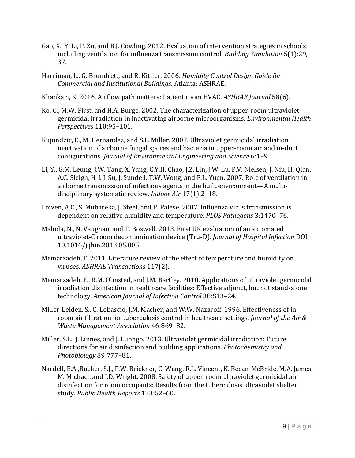- Gao, X., Y. Li, P. Xu, and B.J. Cowling. 2012. Evaluation of intervention strategies in schools including ventilation for influenza transmission control. *Building Simulation* 5(1):29, 37.
- Harriman, L., G. Brundrett, and R. Kittler. 2006. *Humidity Control Design Guide for Commercial and Institutional Buildings*. Atlanta: ASHRAE.
- Khankari, K. 2016. Airflow path matters: Patient room HVAC. *ASHRAE Journal* 58(6).
- Ko, G., M.W. First, and H.A. Burge. 2002. The characterization of upper-room ultraviolet germicidal irradiation in inactivating airborne microorganisms. *Environmental Health Perspectives* 110:95–101.
- Kujundzic, E., M. Hernandez, and S.L. Miller. 2007. Ultraviolet germicidal irradiation inactivation of airborne fungal spores and bacteria in upper-room air and in-duct configurations. *Journal of Environmental Engineering and Science* 6:1–9.
- Li, Y., G.M. Leung, J.W. Tang, X. Yang, C.Y.H. Chao, J.Z. Lin, J.W. Lu, P.V. Nielsen, J. Niu, H. Qian, A.C. Sleigh, H-J. J. Su, J. Sundell, T.W. Wong, and P.L. Yuen. 2007. Role of ventilation in airborne transmission of infectious agents in the built environment—A multidisciplinary systematic review. *Indoor Air* 17(1):2–18.
- Lowen, A.C., S. Mubareka, J. Steel, and P. Palese. 2007. Influenza virus transmission is dependent on relative humidity and temperature. *PLOS Pathogens* 3:1470–76.
- Mahida, N., N. Vaughan, and T. Boswell. 2013. First UK evaluation of an automated ultraviolet-C room decontamination device (Tru-D). *Journal of Hospital Infection* DOI: 10.1016/j.jhin.2013.05.005.
- Memarzadeh, F. 2011. Literature review of the effect of temperature and humidity on viruses. *ASHRAE Transactions* 117(2).
- Memarzadeh, F., R.M. Olmsted, and J.M. Bartley. 2010. Applications of ultraviolet germicidal irradiation disinfection in healthcare facilities: Effective adjunct, but not stand-alone technology. *American Journal of Infection Control* 38:S13–24.
- Miller-Leiden, S., C. Lobascio, J.M. Macher, and W.W. Nazaroff. 1996. Effectiveness of in room air filtration for tuberculosis control in healthcare settings. *Journal of the Air & Waste Management Association* 46:869–82.
- Miller, S.L., J. Linnes, and J. Luongo. 2013. Ultraviolet germicidal irradiation: Future directions for air disinfection and building applications. *Photochemistry and Photobiology* 89:777–81.
- Nardell, E.A.,Bucher, S.J., P.W. Brickner, C. Wang, R.L. Vincent, K. Becan-McBride, M.A. James, M. Michael, and J.D. Wright. 2008. Safety of upper-room ultraviolet germicidal air disinfection for room occupants: Results from the tuberculosis ultraviolet shelter study. *Public Health Reports* 123:52–60.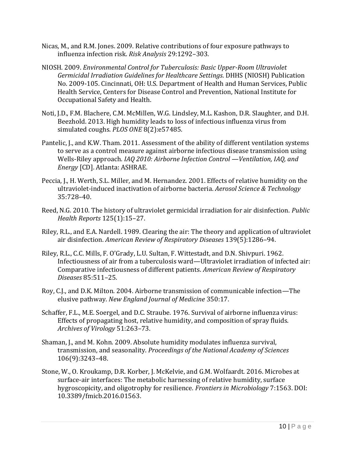- Nicas, M., and R.M. Jones. 2009. Relative contributions of four exposure pathways to influenza infection risk. *Risk Analysis* 29:1292–303.
- NIOSH. 2009. *Environmental Control for Tuberculosis: Basic Upper-Room Ultraviolet Germicidal Irradiation Guidelines for Healthcare Settings*. DHHS (NIOSH) Publication No. 2009-105. Cincinnati, OH: U.S. Department of Health and Human Services, Public Health Service, Centers for Disease Control and Prevention, National Institute for Occupational Safety and Health.
- Noti, J.D., F.M. Blachere, C.M. McMillen, W.G. Lindsley, M.L. Kashon, D.R. Slaughter, and D.H. Beezhold. 2013. High humidity leads to loss of infectious influenza virus from simulated coughs. *PLOS ONE* 8(2):e57485.
- Pantelic, J., and K.W. Tham. 2011. Assessment of the ability of different ventilation systems to serve as a control measure against airborne infectious disease transmission using Wells-Riley approach. *IAQ 2010: Airborne Infection Control —Ventilation, IAQ, and Energy* [CD]. Atlanta: ASHRAE.
- Peccia, J., H. Werth, S.L. Miller, and M. Hernandez. 2001. Effects of relative humidity on the ultraviolet-induced inactivation of airborne bacteria. *Aerosol Science & Technology* 35:728–40.
- Reed, N.G. 2010. The history of ultraviolet germicidal irradiation for air disinfection. *Public Health Reports* 125(1):15–27.
- Riley, R.L., and E.A. Nardell. 1989. Clearing the air: The theory and application of ultraviolet air disinfection. *American Review of Respiratory Diseases* 139(5):1286–94.
- Riley, R.L., C.C. Mills, F. O'Grady, L.U. Sultan, F. Wittestadt, and D.N. Shivpuri. 1962. Infectiousness of air from a tuberculosis ward—Ultraviolet irradiation of infected air: Comparative infectiousness of different patients. *American Review of Respiratory Diseases* 85:511–25.
- Roy, C.J., and D.K. Milton. 2004. Airborne transmission of communicable infection—The elusive pathway. *New England Journal of Medicine* 350:17.
- Schaffer, F.L., M.E. Soergel, and D.C. Straube. 1976. Survival of airborne influenza virus: Effects of propagating host, relative humidity, and composition of spray fluids. *Archives of Virology* 51:263–73.
- Shaman, J., and M. Kohn. 2009. Absolute humidity modulates influenza survival, transmission, and seasonality. *Proceedings of the National Academy of Sciences*  106(9):3243–48.
- Stone, W., O. Kroukamp, D.R. Korber, J. McKelvie, and G.M. Wolfaardt. 2016. Microbes at surface-air interfaces: The metabolic harnessing of relative humidity, surface hygroscopicity, and oligotrophy for resilience. *Frontiers in Microbiology* 7:1563. DOI: 10.3389/fmicb.2016.01563.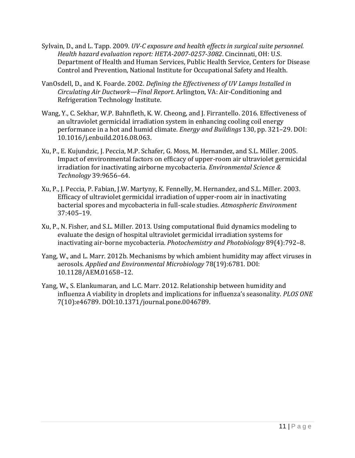- Sylvain, D., and L. Tapp. 2009. *UV-C exposure and health effects in surgical suite personnel. Health hazard evaluation report: HETA-2007-0257-3082*. Cincinnati, OH: U.S. Department of Health and Human Services, Public Health Service, Centers for Disease Control and Prevention, National Institute for Occupational Safety and Health.
- VanOsdell, D., and K. Foarde. 2002. *Defining the Effectiveness of UV Lamps Installed in Circulating Air Ductwork—Final Report*. Arlington, VA: Air-Conditioning and Refrigeration Technology Institute.
- Wang, Y., C. Sekhar, W.P. Bahnfleth, K. W. Cheong, and J. Firrantello. 2016. Effectiveness of an ultraviolet germicidal irradiation system in enhancing cooling coil energy performance in a hot and humid climate. *Energy and Buildings* 130, pp. 321–29. DOI: 10.1016/j.enbuild.2016.08.063.
- Xu, P., E. Kujundzic, J. Peccia, M.P. Schafer, G. Moss, M. Hernandez, and S.L. Miller. 2005. Impact of environmental factors on efficacy of upper-room air ultraviolet germicidal irradiation for inactivating airborne mycobacteria. *Environmental Science & Technology* 39:9656–64.
- Xu, P., J. Peccia, P. Fabian, J.W. Martyny, K. Fennelly, M. Hernandez, and S.L. Miller. 2003. Efficacy of ultraviolet germicidal irradiation of upper-room air in inactivating bacterial spores and mycobacteria in full-scale studies. *Atmospheric Environment* 37:405–19.
- Xu, P., N. Fisher, and S.L. Miller. 2013. Using computational fluid dynamics modeling to evaluate the design of hospital ultraviolet germicidal irradiation systems for inactivating air-borne mycobacteria. *Photochemistry and Photobiology* 89(4):792–8.
- Yang, W., and L. Marr. 2012b. Mechanisms by which ambient humidity may affect viruses in aerosols. *Applied and Environmental Microbiology* 78(19):6781. DOI: 10.1128/AEM.01658–12.
- Yang, W., S. Elankumaran, and L.C. Marr. 2012. Relationship between humidity and influenza A viability in droplets and implications for influenza's seasonality. *PLOS ONE* 7(10):e46789. DOI:10.1371/journal.pone.0046789.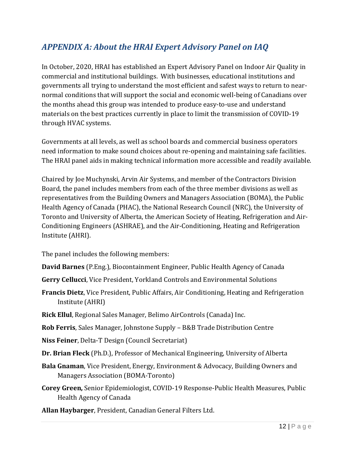## *APPENDIX A: About the HRAI Expert Advisory Panel on IAQ*

In October, 2020, HRAI has established an Expert Advisory Panel on Indoor Air Quality in commercial and institutional buildings. With businesses, educational institutions and governments all trying to understand the most efficient and safest ways to return to nearnormal conditions that will support the social and economic well-being of Canadians over the months ahead this group was intended to produce easy-to-use and understand materials on the best practices currently in place to limit the transmission of COVID-19 through HVAC systems.

Governments at all levels, as well as school boards and commercial business operators need information to make sound choices about re-opening and maintaining safe facilities. The HRAI panel aids in making technical information more accessible and readily available.

Chaired by Joe Muchynski, Arvin Air Systems, and member of the Contractors Division Board, the panel includes members from each of the three member divisions as well as representatives from the Building Owners and Managers Association (BOMA), the Public Health Agency of Canada (PHAC), the National Research Council (NRC), the University of Toronto and University of Alberta, the American Society of Heating, Refrigeration and Air-Conditioning Engineers (ASHRAE), and the Air-Conditioning, Heating and Refrigeration Institute (AHRI).

The panel includes the following members:

- **David Barnes** (P.Eng.), Biocontainment Engineer, Public Health Agency of Canada
- **Gerry Cellucci**, Vice President, Yorkland Controls and Environmental Solutions
- **Francis Dietz**, Vice President, Public Affairs, Air Conditioning, Heating and Refrigeration Institute (AHRI)
- **Rick Ellul**, Regional Sales Manager, Belimo AirControls (Canada) Inc.

**Rob Ferris**, Sales Manager, Johnstone Supply – B&B Trade Distribution Centre

**Niss Feiner**, Delta-T Design (Council Secretariat)

**Dr. Brian Fleck** (Ph.D.), Professor of Mechanical Engineering, University of Alberta

- **Bala Gnaman**, Vice President, Energy, Environment & Advocacy, Building Owners and Managers Association (BOMA-Toronto)
- **Corey Green,** Senior Epidemiologist, COVID-19 Response-Public Health Measures, Public Health Agency of Canada

**Allan Haybarger**, President, Canadian General Filters Ltd.